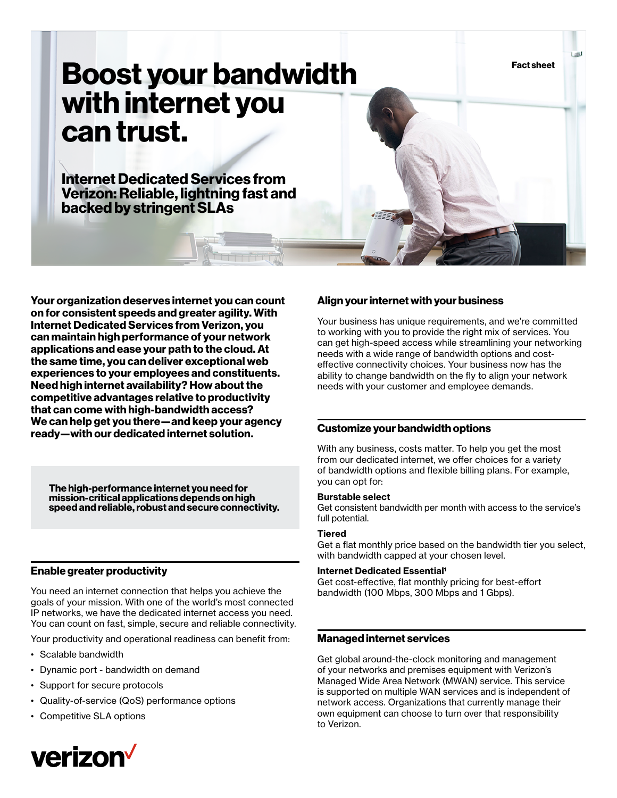**Fact sheet**

# **Boost your bandwidth with internet you can trust.**

**Internet Dedicated Services from Verizon: Reliable, lightning fast and backed by stringent SLAs**

**Your organization deserves internet you can count on for consistent speeds and greater agility. With Internet Dedicated Services from Verizon, you can maintain high performance of your network applications and ease your path to the cloud. At the same time, you can deliver exceptional web experiences to your employees and constituents. Need high internet availability? How about the competitive advantages relative to productivity that can come with high-bandwidth access? We can help get you there—and keep your agency ready—with our dedicated internet solution.**

**The high-performance internet you need for mission-critical applications depends on high speed and reliable, robust and secure connectivity.**

## **Enable greater productivity**

You need an internet connection that helps you achieve the goals of your mission. With one of the world's most connected IP networks, we have the dedicated internet access you need. You can count on fast, simple, secure and reliable connectivity.

Your productivity and operational readiness can benefit from:

- Scalable bandwidth
- Dynamic port bandwidth on demand
- Support for secure protocols
- Quality-of-service (QoS) performance options
- Competitive SLA options



### **Align your internet with your business**

Your business has unique requirements, and we're committed to working with you to provide the right mix of services. You can get high-speed access while streamlining your networking needs with a wide range of bandwidth options and costeffective connectivity choices. Your business now has the ability to change bandwidth on the fly to align your network needs with your customer and employee demands.

## **Customize your bandwidth options**

With any business, costs matter. To help you get the most from our dedicated internet, we offer choices for a variety of bandwidth options and flexible billing plans. For example, you can opt for:

#### **Burstable select**

Get consistent bandwidth per month with access to the service's full potential.

#### **Tiered**

Get a flat monthly price based on the bandwidth tier you select, with bandwidth capped at your chosen level.

#### **Internet Dedicated Essential<sup>1</sup>**

Get cost-effective, flat monthly pricing for best-effort bandwidth (100 Mbps, 300 Mbps and 1 Gbps).

## **Managed internet services**

Get global around-the-clock monitoring and management of your networks and premises equipment with Verizon's Managed Wide Area Network (MWAN) service. This service is supported on multiple WAN services and is independent of network access. Organizations that currently manage their own equipment can choose to turn over that responsibility to Verizon.